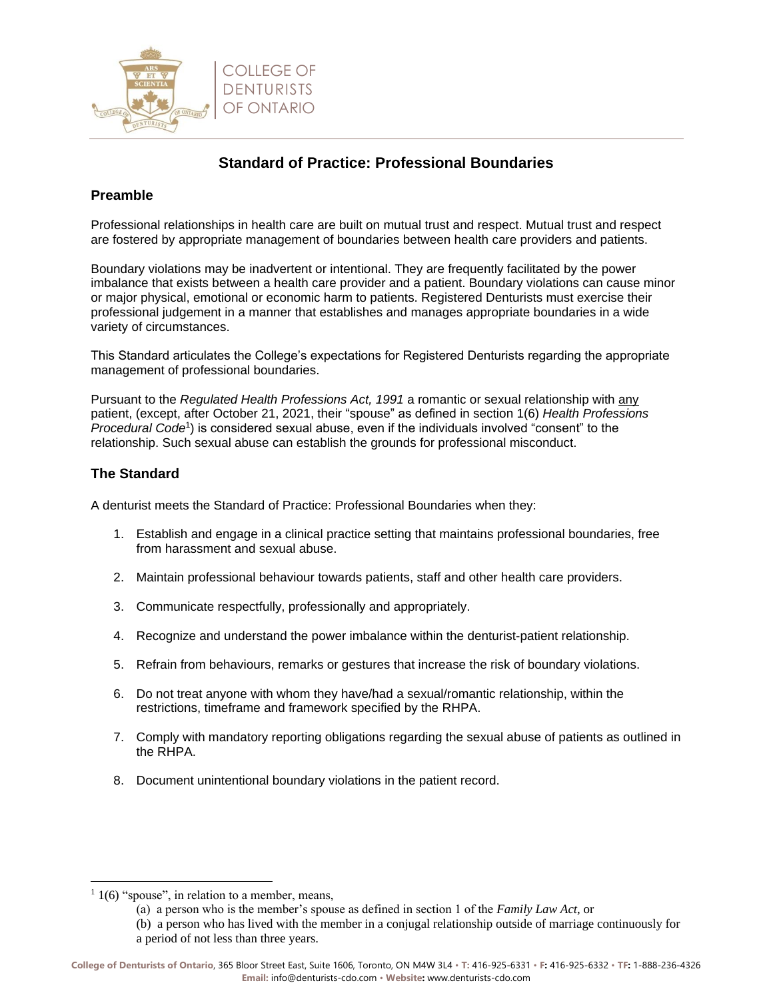

# **Standard of Practice: Professional Boundaries**

## **Preamble**

Professional relationships in health care are built on mutual trust and respect. Mutual trust and respect are fostered by appropriate management of boundaries between health care providers and patients.

Boundary violations may be inadvertent or intentional. They are frequently facilitated by the power imbalance that exists between a health care provider and a patient. Boundary violations can cause minor or major physical, emotional or economic harm to patients. Registered Denturists must exercise their professional judgement in a manner that establishes and manages appropriate boundaries in a wide variety of circumstances.

This Standard articulates the College's expectations for Registered Denturists regarding the appropriate management of professional boundaries.

Pursuant to the *Regulated Health Professions Act, 1991* a romantic or sexual relationship with any patient, (except, after October 21, 2021, their "spouse" as defined in section 1(6) *Health Professions*  Procedural Code<sup>1</sup>) is considered sexual abuse, even if the individuals involved "consent" to the relationship. Such sexual abuse can establish the grounds for professional misconduct.

#### **The Standard**

A denturist meets the Standard of Practice: Professional Boundaries when they:

- 1. Establish and engage in a clinical practice setting that maintains professional boundaries, free from harassment and sexual abuse.
- 2. Maintain professional behaviour towards patients, staff and other health care providers.
- 3. Communicate respectfully, professionally and appropriately.
- 4. Recognize and understand the power imbalance within the denturist-patient relationship.
- 5. Refrain from behaviours, remarks or gestures that increase the risk of boundary violations.
- 6. Do not treat anyone with whom they have/had a sexual/romantic relationship, within the restrictions, timeframe and framework specified by the RHPA.
- 7. Comply with mandatory reporting obligations regarding the sexual abuse of patients as outlined in the RHPA.
- 8. Document unintentional boundary violations in the patient record.

 $1/1(6)$  "spouse", in relation to a member, means,

<sup>(</sup>a) a person who is the member's spouse as defined in section 1 of the *Family Law Act*, or

<sup>(</sup>b) a person who has lived with the member in a conjugal relationship outside of marriage continuously for a period of not less than three years.